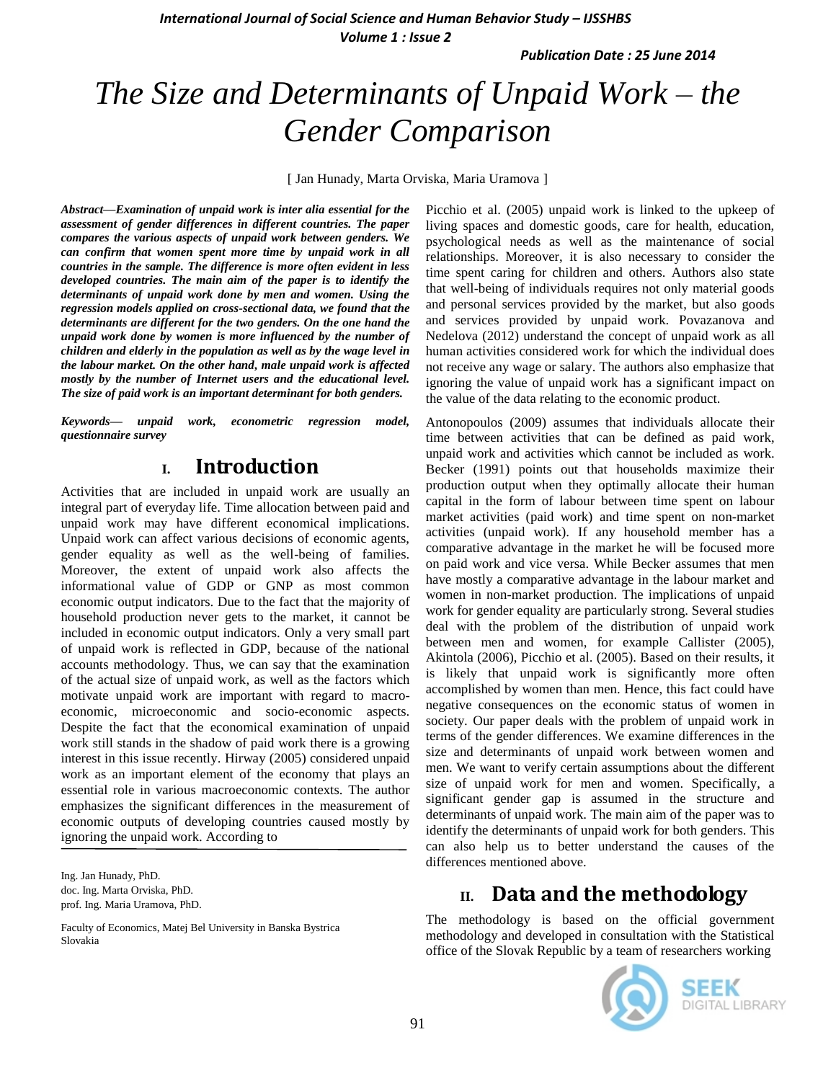*International Journal of Social Science and Human Behavior Study – IJSSHBS Volume 1 : Issue 2*

*Publication Date : 25 June 2014*

# *The Size and Determinants of Unpaid Work – the Gender Comparison*

[ Jan Hunady, Marta Orviska, Maria Uramova ]

*Abstract***—***Examination of unpaid work is inter alia essential for the assessment of gender differences in different countries. The paper compares the various aspects of unpaid work between genders. We can confirm that women spent more time by unpaid work in all countries in the sample. The difference is more often evident in less developed countries. The main aim of the paper is to identify the determinants of unpaid work done by men and women. Using the regression models applied on cross-sectional data, we found that the determinants are different for the two genders. On the one hand the unpaid work done by women is more influenced by the number of children and elderly in the population as well as by the wage level in the labour market. On the other hand, male unpaid work is affected mostly by the number of Internet users and the educational level. The size of paid work is an important determinant for both genders.*

*Keywords— unpaid work, econometric regression model, questionnaire survey*

### **I. Introduction**

Activities that are included in unpaid work are usually an integral part of everyday life. Time allocation between paid and unpaid work may have different economical implications. Unpaid work can affect various decisions of economic agents, gender equality as well as the well-being of families. Moreover, the extent of unpaid work also affects the informational value of GDP or GNP as most common economic output indicators. Due to the fact that the majority of household production never gets to the market, it cannot be included in economic output indicators. Only a very small part of unpaid work is reflected in GDP, because of the national accounts methodology. Thus, we can say that the examination of the actual size of unpaid work, as well as the factors which motivate unpaid work are important with regard to macroeconomic, microeconomic and socio-economic aspects. Despite the fact that the economical examination of unpaid work still stands in the shadow of paid work there is a growing interest in this issue recently. Hirway (2005) considered unpaid work as an important element of the economy that plays an essential role in various macroeconomic contexts. The author emphasizes the significant differences in the measurement of economic outputs of developing countries caused mostly by ignoring the unpaid work. According to

Ing. Jan Hunady, PhD. doc. Ing. Marta Orviska, PhD. prof. Ing. Maria Uramova, PhD.

Faculty of Economics, Matej Bel University in Banska Bystrica Slovakia

Picchio et al. (2005) unpaid work is linked to the upkeep of living spaces and domestic goods, care for health, education, psychological needs as well as the maintenance of social relationships. Moreover, it is also necessary to consider the time spent caring for children and others. Authors also state that well-being of individuals requires not only material goods and personal services provided by the market, but also goods and services provided by unpaid work. Povazanova and Nedelova (2012) understand the concept of unpaid work as all human activities considered work for which the individual does not receive any wage or salary. The authors also emphasize that ignoring the value of unpaid work has a significant impact on the value of the data relating to the economic product.

Antonopoulos (2009) assumes that individuals allocate their time between activities that can be defined as paid work, unpaid work and activities which cannot be included as work. Becker (1991) points out that households maximize their production output when they optimally allocate their human capital in the form of labour between time spent on labour market activities (paid work) and time spent on non-market activities (unpaid work). If any household member has a comparative advantage in the market he will be focused more on paid work and vice versa. While Becker assumes that men have mostly a comparative advantage in the labour market and women in non-market production. The implications of unpaid work for gender equality are particularly strong. Several studies deal with the problem of the distribution of unpaid work between men and women, for example Callister (2005), Akintola (2006), Picchio et al. (2005). Based on their results, it is likely that unpaid work is significantly more often accomplished by women than men. Hence, this fact could have negative consequences on the economic status of women in society. Our paper deals with the problem of unpaid work in terms of the gender differences. We examine differences in the size and determinants of unpaid work between women and men. We want to verify certain assumptions about the different size of unpaid work for men and women. Specifically, a significant gender gap is assumed in the structure and determinants of unpaid work. The main aim of the paper was to identify the determinants of unpaid work for both genders. This can also help us to better understand the causes of the differences mentioned above.

### **II. Data and the methodology**

The methodology is based on the official government methodology and developed in consultation with the Statistical office of the Slovak Republic by a team of researchers working

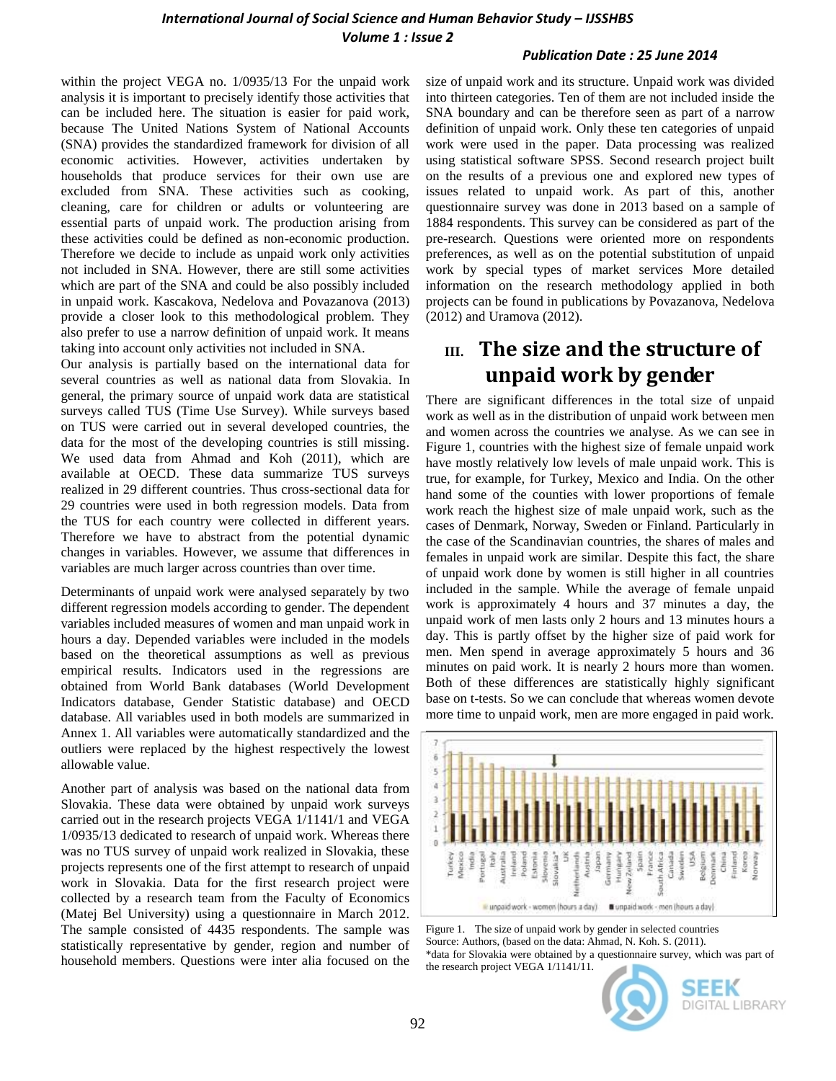#### *Publication Date : 25 June 2014*

within the project VEGA no. 1/0935/13 For the unpaid work analysis it is important to precisely identify those activities that can be included here. The situation is easier for paid work, because The United Nations System of National Accounts (SNA) provides the standardized framework for division of all economic activities. However, activities undertaken by households that produce services for their own use are excluded from SNA. These activities such as cooking, cleaning, care for children or adults or volunteering are essential parts of unpaid work. The production arising from these activities could be defined as non-economic production. Therefore we decide to include as unpaid work only activities not included in SNA. However, there are still some activities which are part of the SNA and could be also possibly included in unpaid work. Kascakova, Nedelova and Povazanova (2013) provide a closer look to this methodological problem. They also prefer to use a narrow definition of unpaid work. It means taking into account only activities not included in SNA.

Our analysis is partially based on the international data for several countries as well as national data from Slovakia. In general, the primary source of unpaid work data are statistical surveys called TUS (Time Use Survey). While surveys based on TUS were carried out in several developed countries, the data for the most of the developing countries is still missing. We used data from Ahmad and Koh (2011), which are available at OECD. These data summarize TUS surveys realized in 29 different countries. Thus cross-sectional data for 29 countries were used in both regression models. Data from the TUS for each country were collected in different years. Therefore we have to abstract from the potential dynamic changes in variables. However, we assume that differences in variables are much larger across countries than over time.

Determinants of unpaid work were analysed separately by two different regression models according to gender. The dependent variables included measures of women and man unpaid work in hours a day. Depended variables were included in the models based on the theoretical assumptions as well as previous empirical results. Indicators used in the regressions are obtained from World Bank databases (World Development Indicators database, Gender Statistic database) and OECD database. All variables used in both models are summarized in Annex 1. All variables were automatically standardized and the outliers were replaced by the highest respectively the lowest allowable value.

Another part of analysis was based on the national data from Slovakia. These data were obtained by unpaid work surveys carried out in the research projects VEGA 1/1141/1 and VEGA 1/0935/13 dedicated to research of unpaid work. Whereas there was no TUS survey of unpaid work realized in Slovakia, these projects represents one of the first attempt to research of unpaid work in Slovakia. Data for the first research project were collected by a research team from the Faculty of Economics (Matej Bel University) using a questionnaire in March 2012. The sample consisted of 4435 respondents. The sample was statistically representative by gender, region and number of household members. Questions were inter alia focused on the

size of unpaid work and its structure. Unpaid work was divided into thirteen categories. Ten of them are not included inside the SNA boundary and can be therefore seen as part of a narrow definition of unpaid work. Only these ten categories of unpaid work were used in the paper. Data processing was realized using statistical software SPSS. Second research project built on the results of a previous one and explored new types of issues related to unpaid work. As part of this, another questionnaire survey was done in 2013 based on a sample of 1884 respondents. This survey can be considered as part of the pre-research. Questions were oriented more on respondents preferences, as well as on the potential substitution of unpaid work by special types of market services More detailed information on the research methodology applied in both projects can be found in publications by Povazanova, Nedelova (2012) and Uramova (2012).

## **III. The size and the structure of unpaid work by gender**

There are significant differences in the total size of unpaid work as well as in the distribution of unpaid work between men and women across the countries we analyse. As we can see in Figure 1, countries with the highest size of female unpaid work have mostly relatively low levels of male unpaid work. This is true, for example, for Turkey, Mexico and India. On the other hand some of the counties with lower proportions of female work reach the highest size of male unpaid work, such as the cases of Denmark, Norway, Sweden or Finland. Particularly in the case of the Scandinavian countries, the shares of males and females in unpaid work are similar. Despite this fact, the share of unpaid work done by women is still higher in all countries included in the sample. While the average of female unpaid work is approximately 4 hours and 37 minutes a day, the unpaid work of men lasts only 2 hours and 13 minutes hours a day. This is partly offset by the higher size of paid work for men. Men spend in average approximately 5 hours and 36 minutes on paid work. It is nearly 2 hours more than women. Both of these differences are statistically highly significant base on t-tests. So we can conclude that whereas women devote more time to unpaid work, men are more engaged in paid work.



Figure 1. The size of unpaid work by gender in selected countries Source: Authors, (based on the data: Ahmad, N. Koh. S. (2011). \*data for Slovakia were obtained by a questionnaire survey, which was part of the research project VEGA 1/1141/11.

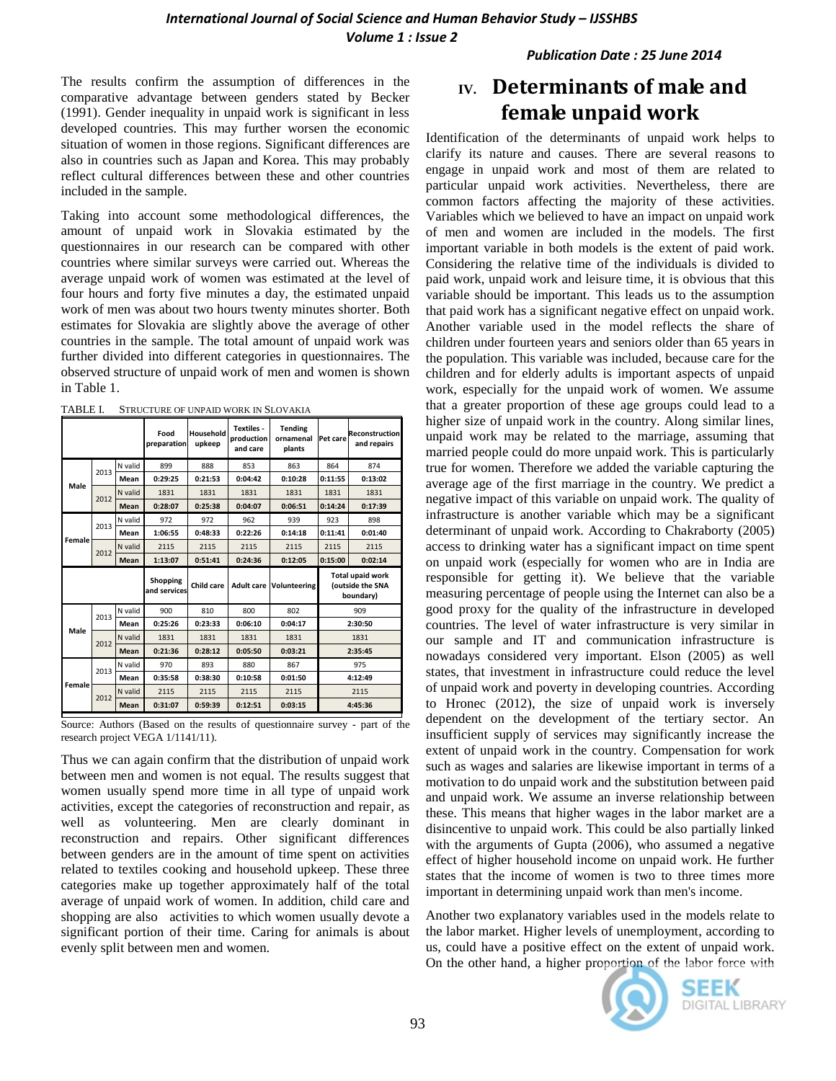*Publication Date : 25 June 2014*

The results confirm the assumption of differences in the comparative advantage between genders stated by Becker (1991). Gender inequality in unpaid work is significant in less developed countries. This may further worsen the economic situation of women in those regions. Significant differences are also in countries such as Japan and Korea. This may probably reflect cultural differences between these and other countries included in the sample.

Taking into account some methodological differences, the amount of unpaid work in Slovakia estimated by the questionnaires in our research can be compared with other countries where similar surveys were carried out. Whereas the average unpaid work of women was estimated at the level of four hours and forty five minutes a day, the estimated unpaid work of men was about two hours twenty minutes shorter. Both estimates for Slovakia are slightly above the average of other countries in the sample. The total amount of unpaid work was further divided into different categories in questionnaires. The observed structure of unpaid work of men and women is shown in Table 1.

TABLE I. STRUCTURE OF UNPAID WORK IN SLOVAKIA

|        |             |         | Food<br>preparation      | Household<br>upkeep | Textiles -<br>production<br>and care | <b>Tending</b><br>ornamenal<br>plants | Pet care                                          | <b>Reconstruction</b><br>and repairs |  |
|--------|-------------|---------|--------------------------|---------------------|--------------------------------------|---------------------------------------|---------------------------------------------------|--------------------------------------|--|
|        | 2013        | N valid | 899                      | 888                 | 853                                  | 863                                   | 864<br>874                                        |                                      |  |
|        |             | Mean    | 0:29:25                  | 0:21:53             | 0:04:42                              | 0:10:28                               | 0:11:55                                           | 0:13:02                              |  |
| Male   |             | N valid | 1831                     | 1831                | 1831                                 | 1831                                  | 1831                                              | 1831                                 |  |
|        | 2012        | Mean    | 0:28:07                  | 0:25:38             | 0:04:07                              | 0:06:51                               | 0:14:24                                           | 0:17:39                              |  |
|        | 2013        | N valid | 972                      | 972                 | 962                                  | 939                                   | 923                                               | 898                                  |  |
|        |             | Mean    | 1:06:55                  | 0:48:33             | 0:22:26                              | 0:14:18                               | 0:11:41                                           | 0:01:40                              |  |
| Female |             | N valid | 2115                     | 2115                | 2115                                 | 2115                                  | 2115                                              | 2115                                 |  |
|        | 2012        | Mean    | 1:13:07                  | 0:51:41             | 0:24:36                              | 0:12:05                               | 0:15:00                                           | 0:02:14                              |  |
|        |             |         | Shopping<br>and services | Child care          |                                      | <b>Adult care Volunteering</b>        | Total upaid work<br>(outside the SNA<br>boundary) |                                      |  |
|        | 2013        | N valid | 900                      | 810                 | 800                                  | 802                                   | 909                                               |                                      |  |
| Male   |             | Mean    | 0:25:26                  | 0:23:33             | 0:06:10                              | 0:04:17                               | 2:30:50                                           |                                      |  |
|        | 2012        | N valid | 1831                     | 1831                | 1831                                 | 1831                                  | 1831                                              |                                      |  |
|        | <b>Mean</b> |         | 0:21:36                  | 0:28:12             | 0:05:50                              | 0:03:21                               | 2:35:45                                           |                                      |  |
|        | 2013        | N valid | 970                      | 893                 | 880                                  | 867                                   | 975                                               |                                      |  |
|        |             | Mean    | 0:35:58                  | 0:38:30             | 0:10:58                              | 0:01:50                               |                                                   | 4:12:49                              |  |
| Female |             |         |                          |                     |                                      |                                       | 2115                                              |                                      |  |
|        | 2012        | N valid | 2115                     | 2115                | 2115                                 | 2115                                  |                                                   |                                      |  |

Source: Authors (Based on the results of questionnaire survey - part of the research project VEGA 1/1141/11).

Thus we can again confirm that the distribution of unpaid work between men and women is not equal. The results suggest that women usually spend more time in all type of unpaid work activities, except the categories of reconstruction and repair, as well as volunteering. Men are clearly dominant in reconstruction and repairs. Other significant differences between genders are in the amount of time spent on activities related to textiles cooking and household upkeep. These three categories make up together approximately half of the total average of unpaid work of women. In addition, child care and shopping are also activities to which women usually devote a significant portion of their time. Caring for animals is about evenly split between men and women.

# **IV. Determinants of male and female unpaid work**

Identification of the determinants of unpaid work helps to clarify its nature and causes. There are several reasons to engage in unpaid work and most of them are related to particular unpaid work activities. Nevertheless, there are common factors affecting the majority of these activities. Variables which we believed to have an impact on unpaid work of men and women are included in the models. The first important variable in both models is the extent of paid work. Considering the relative time of the individuals is divided to paid work, unpaid work and leisure time, it is obvious that this variable should be important. This leads us to the assumption that paid work has a significant negative effect on unpaid work. Another variable used in the model reflects the share of children under fourteen years and seniors older than 65 years in the population. This variable was included, because care for the children and for elderly adults is important aspects of unpaid work, especially for the unpaid work of women. We assume that a greater proportion of these age groups could lead to a higher size of unpaid work in the country. Along similar lines, unpaid work may be related to the marriage, assuming that married people could do more unpaid work. This is particularly true for women. Therefore we added the variable capturing the average age of the first marriage in the country. We predict a negative impact of this variable on unpaid work. The quality of infrastructure is another variable which may be a significant determinant of unpaid work. According to Chakraborty (2005) access to drinking water has a significant impact on time spent on unpaid work (especially for women who are in India are responsible for getting it). We believe that the variable measuring percentage of people using the Internet can also be a good proxy for the quality of the infrastructure in developed countries. The level of water infrastructure is very similar in our sample and IT and communication infrastructure is nowadays considered very important. Elson (2005) as well states, that investment in infrastructure could reduce the level of unpaid work and poverty in developing countries. According to Hronec (2012), the size of unpaid work is inversely dependent on the development of the tertiary sector. An insufficient supply of services may significantly increase the extent of unpaid work in the country. Compensation for work such as wages and salaries are likewise important in terms of a motivation to do unpaid work and the substitution between paid and unpaid work. We assume an inverse relationship between these. This means that higher wages in the labor market are a disincentive to unpaid work. This could be also partially linked with the arguments of Gupta (2006), who assumed a negative effect of higher household income on unpaid work. He further states that the income of women is two to three times more important in determining unpaid work than men's income.

Another two explanatory variables used in the models relate to the labor market. Higher levels of unemployment, according to us, could have a positive effect on the extent of unpaid work. On the other hand, a higher proportion of the labor force with



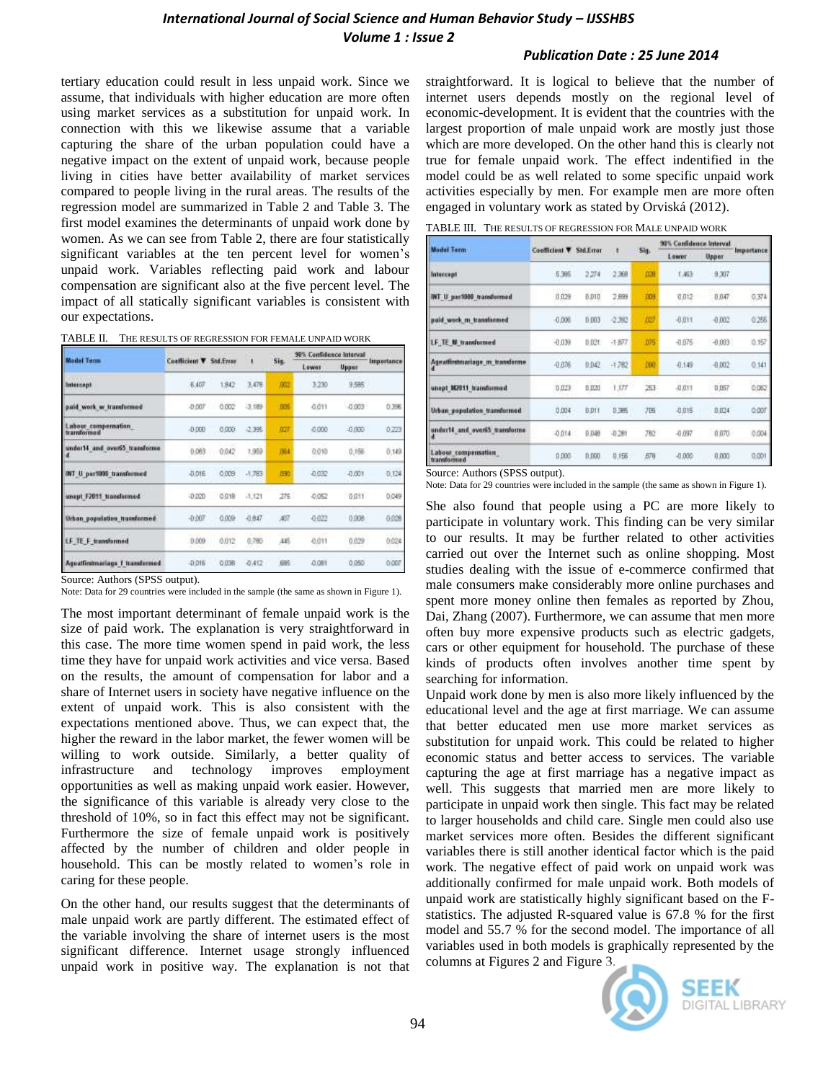#### *International Journal of Social Science and Human Behavior Study – IJSSHBS Volume 1 : Issue 2*

#### *Publication Date : 25 June 2014*

tertiary education could result in less unpaid work. Since we assume, that individuals with higher education are more often using market services as a substitution for unpaid work. In connection with this we likewise assume that a variable capturing the share of the urban population could have a negative impact on the extent of unpaid work, because people living in cities have better availability of market services compared to people living in the rural areas. The results of the regression model are summarized in Table 2 and Table 3. The first model examines the determinants of unpaid work done by women. As we can see from Table 2, there are four statistically significant variables at the ten percent level for women's unpaid work. Variables reflecting paid work and labour compensation are significant also at the five percent level. The impact of all statically significant variables is consistent with our expectations.

| <b>Madel Term</b>                   |                         |       |           |      | 90% Confidence Interval |             |            |
|-------------------------------------|-------------------------|-------|-----------|------|-------------------------|-------------|------------|
|                                     | Coefficient V Std.Frour |       | ٠         | Sig. | Lewer                   | Upput       | Importance |
| Intercept                           | 石油区                     | 1842  | 3.478     | 麻    | 3.230                   | 9.585       |            |
| paid work w transformed             | $-0.007$                | 0.002 | $-3.089$  | DOR  | 0.011                   | $-0.003$    | 0.396      |
| Labour compensation<br>transformed  | $-0.000$                | 0.000 | $-2.395$  | /121 | 0.000                   | $-0.000$    | 0.223      |
| under14 and overal transforme       | 0.063                   | 0.042 | 1,959     | ,054 | 0.010                   | 0,156       | 0.149      |
| INT U per1000 transformed           | <b>JUDIE</b>            | 0.009 | $-1.783$  | (FK) | -0.032                  | $-0.001$    | 0.124      |
| unept F2011 transfermed             | -0.020                  | 0.018 | $-1, 621$ | 275  | 0.052                   | <b>BB11</b> | 0,049      |
| <b>Urban population transformed</b> | $-0.007$                | 0.009 | $-0.847$  | (4)7 | -0.022                  | 0.008       | 0.028      |
| LF TE F transformed                 | 0.009                   | 0.012 | 0.780     | 445  | -0.011                  | 0.029       | m<br>0.024 |
| Agoatfirmnariage 1 transfermed      | $-0.016$                | 0.038 | $-0.412$  | 685  | 0.081                   | 0.050       | 0.007      |

Source: Authors (SPSS output).

Note: Data for 29 countries were included in the sample (the same as shown in Figure 1).

The most important determinant of female unpaid work is the size of paid work. The explanation is very straightforward in this case. The more time women spend in paid work, the less time they have for unpaid work activities and vice versa. Based on the results, the amount of compensation for labor and a share of Internet users in society have negative influence on the extent of unpaid work. This is also consistent with the expectations mentioned above. Thus, we can expect that, the higher the reward in the labor market, the fewer women will be willing to work outside. Similarly, a better quality of infrastructure and technology improves employment opportunities as well as making unpaid work easier. However, the significance of this variable is already very close to the threshold of 10%, so in fact this effect may not be significant. Furthermore the size of female unpaid work is positively affected by the number of children and older people in household. This can be mostly related to women's role in caring for these people.

On the other hand, our results suggest that the determinants of male unpaid work are partly different. The estimated effect of the variable involving the share of internet users is the most significant difference. Internet usage strongly influenced unpaid work in positive way. The explanation is not that straightforward. It is logical to believe that the number of internet users depends mostly on the regional level of economic-development. It is evident that the countries with the largest proportion of male unpaid work are mostly just those which are more developed. On the other hand this is clearly not true for female unpaid work. The effect indentified in the model could be as well related to some specific unpaid work activities especially by men. For example men are more often engaged in voluntary work as stated by Orviská (2012).

|  | TABLE III. THE RESULTS OF REGRESSION FOR MALE UNPAID WORK. |
|--|------------------------------------------------------------|
|--|------------------------------------------------------------|

|                                    |               |                  |          |            | 90% Confidence Interval |          |            |
|------------------------------------|---------------|------------------|----------|------------|-------------------------|----------|------------|
| <b>Madel Term:</b>                 | Coefficient V | <b>Std.Error</b> | n.       | Sig.       | Litweit                 | Upper    | Importance |
| <b>Intercept</b>                   | 5,395         | 2.274            | 2,368    | <b>DOM</b> | T.463                   | 9.307    |            |
| INT U per1989 transformed          | 0.029         | 0.010            | 2.899    | 109        | 0,012                   | 0.047    | 0.374      |
| paid work m transformed.           | $-0.000$      | 0.003            | $-2.382$ | 皿          | $-0.011$                | $-0.002$ | 0.255      |
| LF TE M transformed                | $-0.030$      | 0.021            | $-1.977$ | 075        | $-0.075$                | $-0.003$ | 0.157      |
| Agnattirstmariage m. transferme    | -0.076        | 0.042            | $+782$   | 190        | $-0.149$                | $-0.002$ | 0.141      |
| unept M2011 transformed.           | 0.029         | 0.020            | 1,177    | 冱          | snas<br>$-0.011$        | 0.057    | 0.062      |
| Urban population transformed.      | 0.004         | 0.011            | 0.365    | 顶          | -0.015                  | B 824    | 0.007      |
| under14 and over65 transforme.     | -0.014        | 0.048            | $-0.281$ | 782        | $-0.097$                | 0.070    | 0.004      |
| Labour compensation<br>transformed | 0.000         | 0.000            | 0.156    | <b>B78</b> | $-0.000$                | 0.000    | 0,001      |

Source: Authors (SPSS output).

Note: Data for 29 countries were included in the sample (the same as shown in Figure 1).

She also found that people using a PC are more likely to participate in voluntary work. This finding can be very similar to our results. It may be further related to other activities carried out over the Internet such as online shopping. Most studies dealing with the issue of e-commerce confirmed that male consumers make considerably more online purchases and spent more money online then females as reported by Zhou, Dai, Zhang (2007). Furthermore, we can assume that men more often buy more expensive products such as electric gadgets, cars or other equipment for household. The purchase of these kinds of products often involves another time spent by searching for information.

Unpaid work done by men is also more likely influenced by the educational level and the age at first marriage. We can assume that better educated men use more market services as substitution for unpaid work. This could be related to higher economic status and better access to services. The variable capturing the age at first marriage has a negative impact as well. This suggests that married men are more likely to participate in unpaid work then single. This fact may be related to larger households and child care. Single men could also use market services more often. Besides the different significant variables there is still another identical factor which is the paid work. The negative effect of paid work on unpaid work was additionally confirmed for male unpaid work. Both models of unpaid work are statistically highly significant based on the Fstatistics. The adjusted R-squared value is 67.8 % for the first model and 55.7 % for the second model. The importance of all variables used in both models is graphically represented by the columns at Figures 2 and Figure 3.

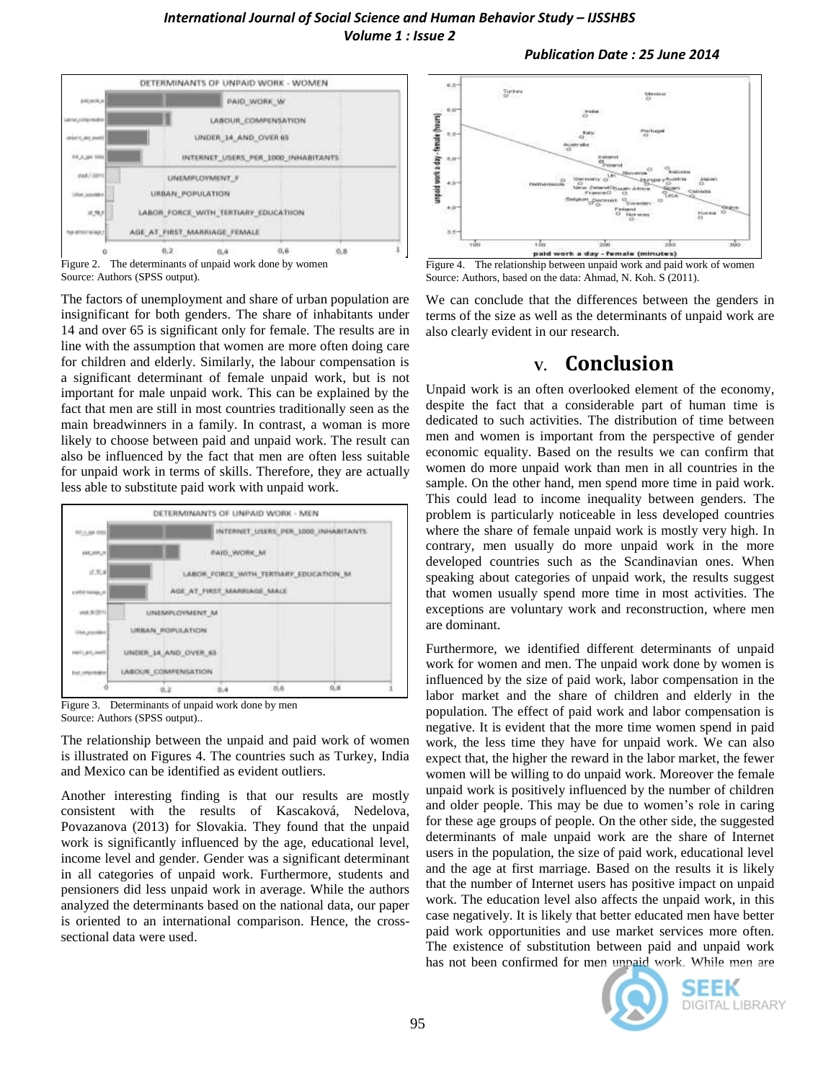#### *International Journal of Social Science and Human Behavior Study – IJSSHBS Volume 1 : Issue 2*

#### *Publication Date : 25 June 2014*



Source: Authors (SPSS output).

The factors of unemployment and share of urban population are insignificant for both genders. The share of inhabitants under 14 and over 65 is significant only for female. The results are in line with the assumption that women are more often doing care for children and elderly. Similarly, the labour compensation is a significant determinant of female unpaid work, but is not important for male unpaid work. This can be explained by the fact that men are still in most countries traditionally seen as the main breadwinners in a family. In contrast, a woman is more likely to choose between paid and unpaid work. The result can also be influenced by the fact that men are often less suitable for unpaid work in terms of skills. Therefore, they are actually less able to substitute paid work with unpaid work.



Figure 3. Determinants of unpaid work done by men Source: Authors (SPSS output)..

The relationship between the unpaid and paid work of women is illustrated on Figures 4. The countries such as Turkey, India and Mexico can be identified as evident outliers.

Another interesting finding is that our results are mostly consistent with the results of Kascaková, Nedelova, Povazanova (2013) for Slovakia. They found that the unpaid work is significantly influenced by the age, educational level, income level and gender. Gender was a significant determinant in all categories of unpaid work. Furthermore, students and pensioners did less unpaid work in average. While the authors analyzed the determinants based on the national data, our paper is oriented to an international comparison. Hence, the crosssectional data were used.



Source: Authors, based on the data: Ahmad, N. Koh. S (2011).

We can conclude that the differences between the genders in terms of the size as well as the determinants of unpaid work are also clearly evident in our research.

### **V. Conclusion**

Unpaid work is an often overlooked element of the economy, despite the fact that a considerable part of human time is dedicated to such activities. The distribution of time between men and women is important from the perspective of gender economic equality. Based on the results we can confirm that women do more unpaid work than men in all countries in the sample. On the other hand, men spend more time in paid work. This could lead to income inequality between genders. The problem is particularly noticeable in less developed countries where the share of female unpaid work is mostly very high. In contrary, men usually do more unpaid work in the more developed countries such as the Scandinavian ones. When speaking about categories of unpaid work, the results suggest that women usually spend more time in most activities. The exceptions are voluntary work and reconstruction, where men are dominant.

Furthermore, we identified different determinants of unpaid work for women and men. The unpaid work done by women is influenced by the size of paid work, labor compensation in the labor market and the share of children and elderly in the population. The effect of paid work and labor compensation is negative. It is evident that the more time women spend in paid work, the less time they have for unpaid work. We can also expect that, the higher the reward in the labor market, the fewer women will be willing to do unpaid work. Moreover the female unpaid work is positively influenced by the number of children and older people. This may be due to women's role in caring for these age groups of people. On the other side, the suggested determinants of male unpaid work are the share of Internet users in the population, the size of paid work, educational level and the age at first marriage. Based on the results it is likely that the number of Internet users has positive impact on unpaid work. The education level also affects the unpaid work, in this case negatively. It is likely that better educated men have better paid work opportunities and use market services more often. The existence of substitution between paid and unpaid work has not been confirmed for men unpaid work. While men are